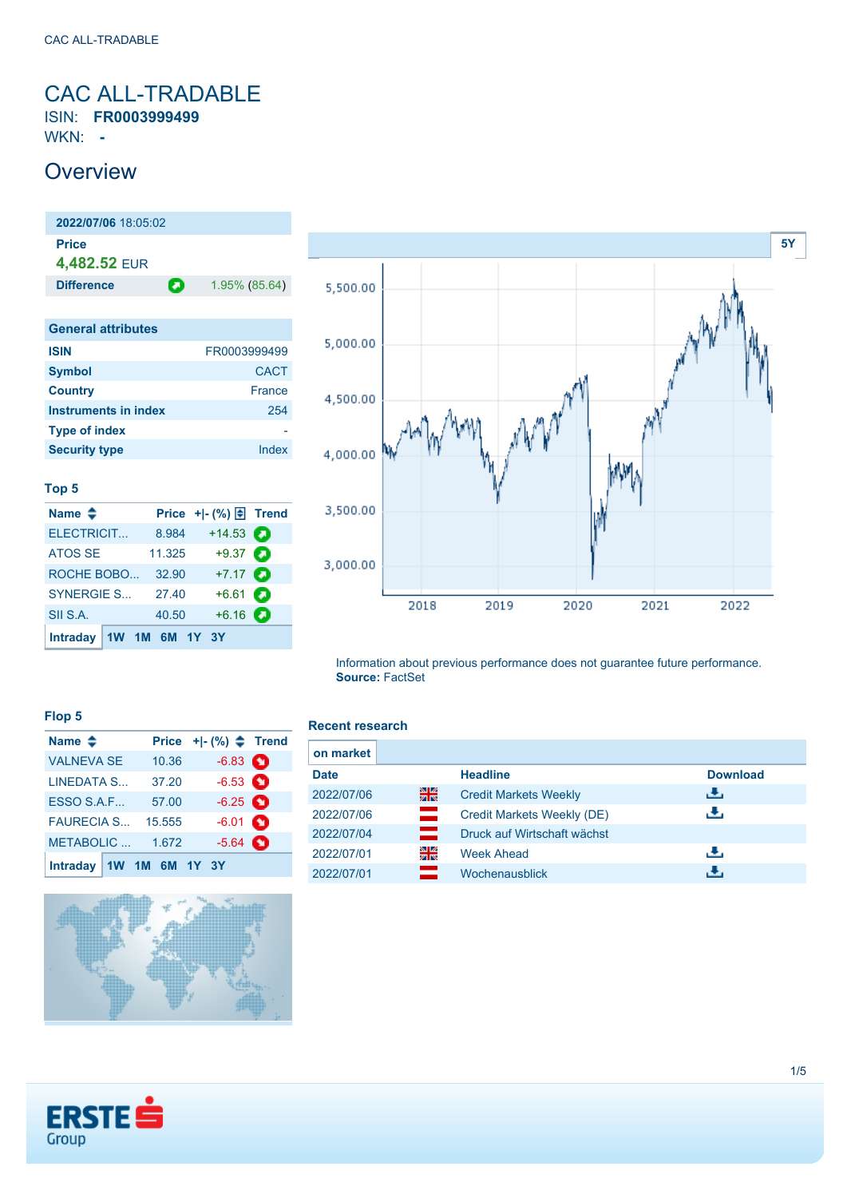### <span id="page-0-0"></span>CAC ALL-TRADABLE ISIN: **FR0003999499**

WKN: **-**

### **Overview**

**2022/07/06** 18:05:02 **Price 4,482.52** EUR **Difference 1.95% (85.64) General attributes ISIN** FR0003999499 **Symbol** CACT **Country** France **Instruments in index** 254 **Type of index** - **Security type Index** 

#### **Top 5**

| Name $\triangleq$ |                | Price + - $(\%) \oplus$ Trend |   |
|-------------------|----------------|-------------------------------|---|
| ELECTRICIT        | 8.984          | $+14.53$                      |   |
| <b>ATOS SE</b>    | 11.325         | $+9.37$ $\bullet$             |   |
| ROCHE BOBO        | 32.90          | $+7.17$ $\bullet$             |   |
| <b>SYNERGIE S</b> | 27.40          | $+6.61$                       | о |
| SII S.A.          | 40.50          | $+6.16$                       | о |
| <b>Intraday</b>   | 1W 1M 6M 1Y 3Y |                               |   |



Information about previous performance does not guarantee future performance. **Source:** FactSet

#### **Flop 5**

| Name $\triangleq$       |  |        | Price $+[-(%) \triangleq$ Trend |   |
|-------------------------|--|--------|---------------------------------|---|
| <b>VALNEVA SE</b>       |  | 10.36  | $-6.83$ $\bullet$               |   |
| <b>LINEDATA S</b>       |  | 37.20  | $-6.53$ $\bullet$               |   |
| ESSO S.A.F              |  | 57.00  | $-6.25$ $\bullet$               |   |
| <b>FAURECIA S</b>       |  | 15.555 | $-6.01$ $\bullet$               |   |
| <b>METABOLIC</b>        |  | 1.672  | $-5.64$                         | n |
| Intraday 1W 1M 6M 1Y 3Y |  |        |                                 |   |

#### **Recent research**

| on market   |     |                              |                 |
|-------------|-----|------------------------------|-----------------|
| <b>Date</b> |     | <b>Headline</b>              | <b>Download</b> |
| 2022/07/06  | 을   | <b>Credit Markets Weekly</b> | ريان            |
| 2022/07/06  | ▀   | Credit Markets Weekly (DE)   | æ,              |
| 2022/07/04  | $=$ | Druck auf Wirtschaft wächst  |                 |
| 2022/07/01  | 읡   | <b>Week Ahead</b>            | υ.              |
| 2022/07/01  | —   | Wochenausblick               |                 |



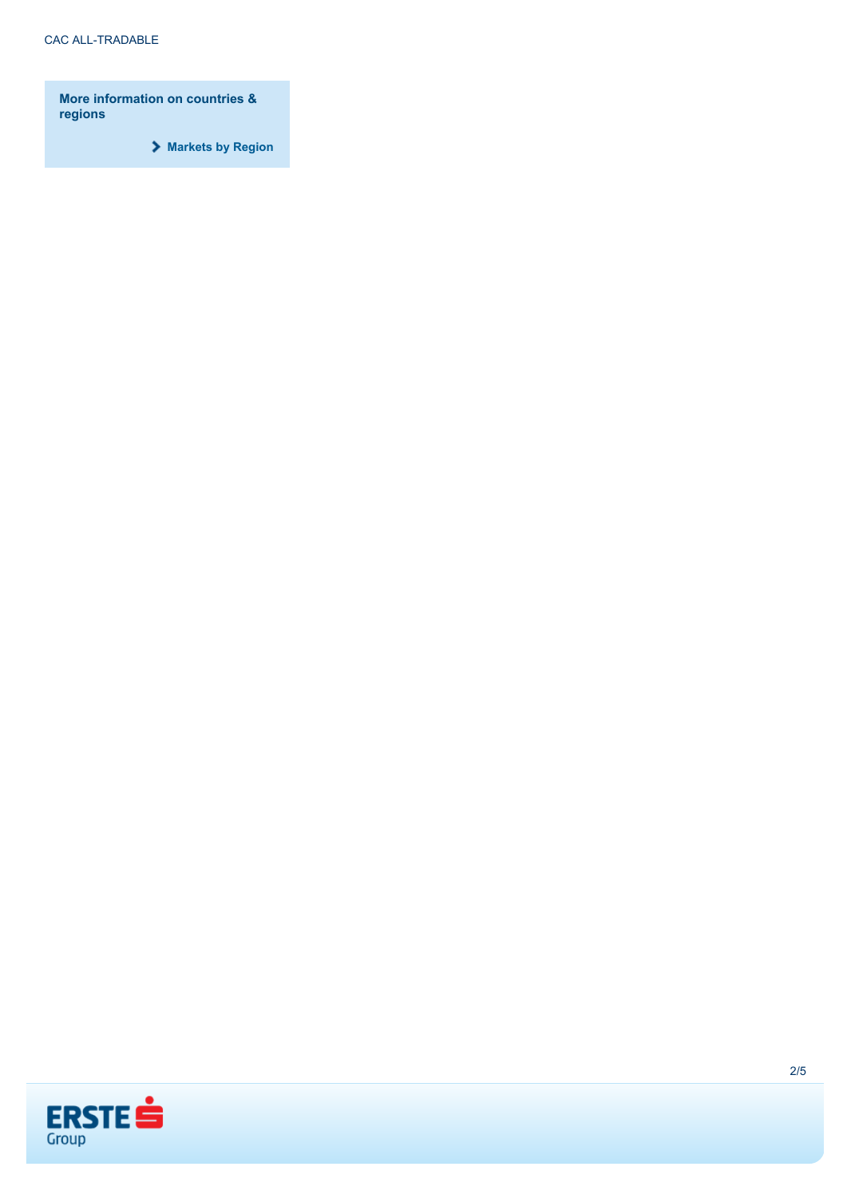**More information on countries & regions**

**[Markets by Region](https://produkte.erstegroup.com/Retail/en/MarketsAndTrends/Markets_by_Region/index.phtml)**

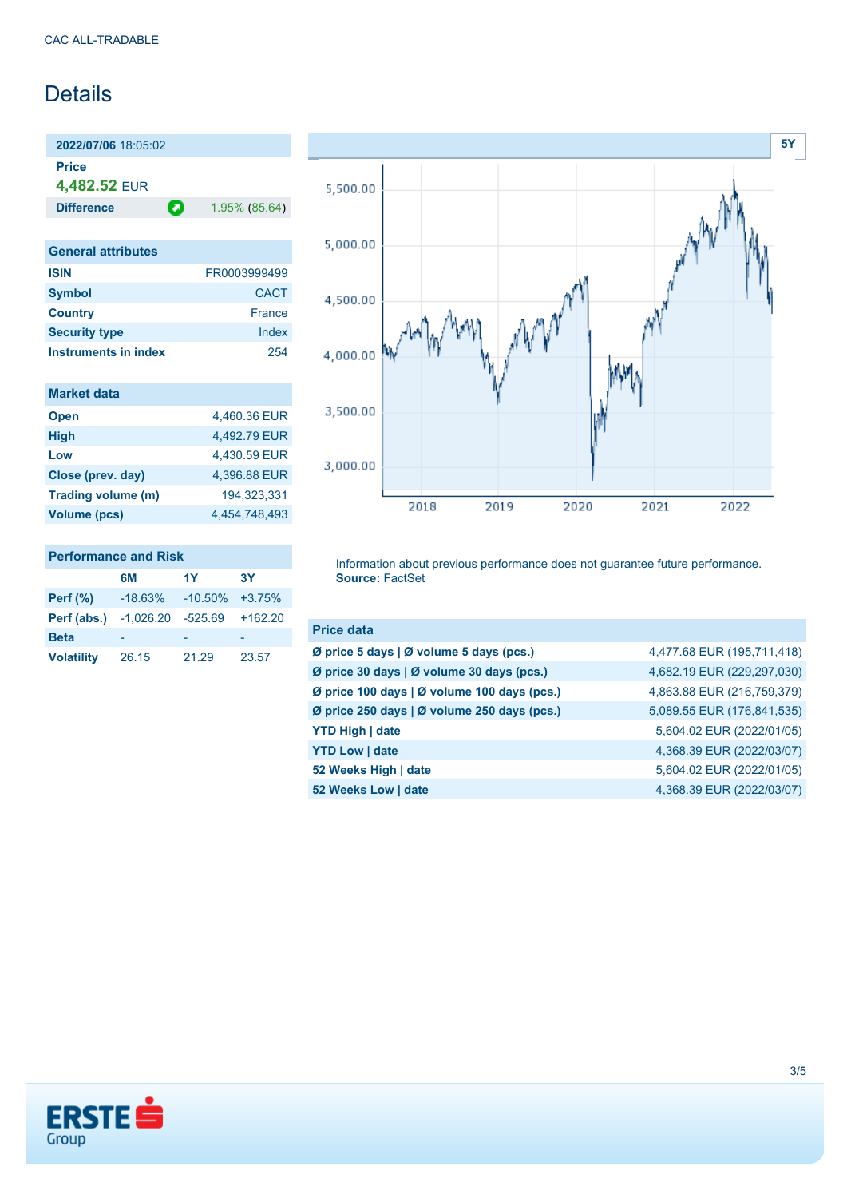## **Details**

**2022/07/06** 18:05:02 **Price 4,482.52** EUR

**Difference 1.95% (85.64)** 

| <b>General attributes</b> |               |
|---------------------------|---------------|
| <b>ISIN</b>               | FR0003999499  |
| <b>Symbol</b>             | CACT          |
| <b>Country</b>            | <b>France</b> |
| <b>Security type</b>      | Index         |
| Instruments in index      | 254           |

| <b>Market data</b>  |               |
|---------------------|---------------|
| <b>Open</b>         | 4,460.36 EUR  |
| <b>High</b>         | 4,492.79 EUR  |
| Low                 | 4.430.59 EUR  |
| Close (prev. day)   | 4,396.88 EUR  |
| Trading volume (m)  | 194.323.331   |
| <b>Volume (pcs)</b> | 4.454.748.493 |

## **Performance and Risk**

|                                          | 6M        | <b>1Y</b>           | <b>3Y</b> |
|------------------------------------------|-----------|---------------------|-----------|
| Perf $(\%)$                              | $-18.63%$ | $-10.50\% + 3.75\%$ |           |
| <b>Perf (abs.)</b> $-1,026.20$ $-525.69$ |           |                     | $+162.20$ |
| <b>Beta</b>                              |           |                     |           |
| <b>Volatility</b>                        | 26.15     | 21.29               | 23.57     |



Information about previous performance does not guarantee future performance. **Source:** FactSet

| <b>Price data</b>                           |                            |
|---------------------------------------------|----------------------------|
| Ø price 5 days   Ø volume 5 days (pcs.)     | 4,477.68 EUR (195,711,418) |
| Ø price 30 days   Ø volume 30 days (pcs.)   | 4,682.19 EUR (229,297,030) |
| Ø price 100 days   Ø volume 100 days (pcs.) | 4,863.88 EUR (216,759,379) |
| Ø price 250 days   Ø volume 250 days (pcs.) | 5,089.55 EUR (176,841,535) |
| <b>YTD High   date</b>                      | 5,604.02 EUR (2022/01/05)  |
| <b>YTD Low   date</b>                       | 4,368.39 EUR (2022/03/07)  |
| 52 Weeks High   date                        | 5,604.02 EUR (2022/01/05)  |
| 52 Weeks Low   date                         | 4,368.39 EUR (2022/03/07)  |

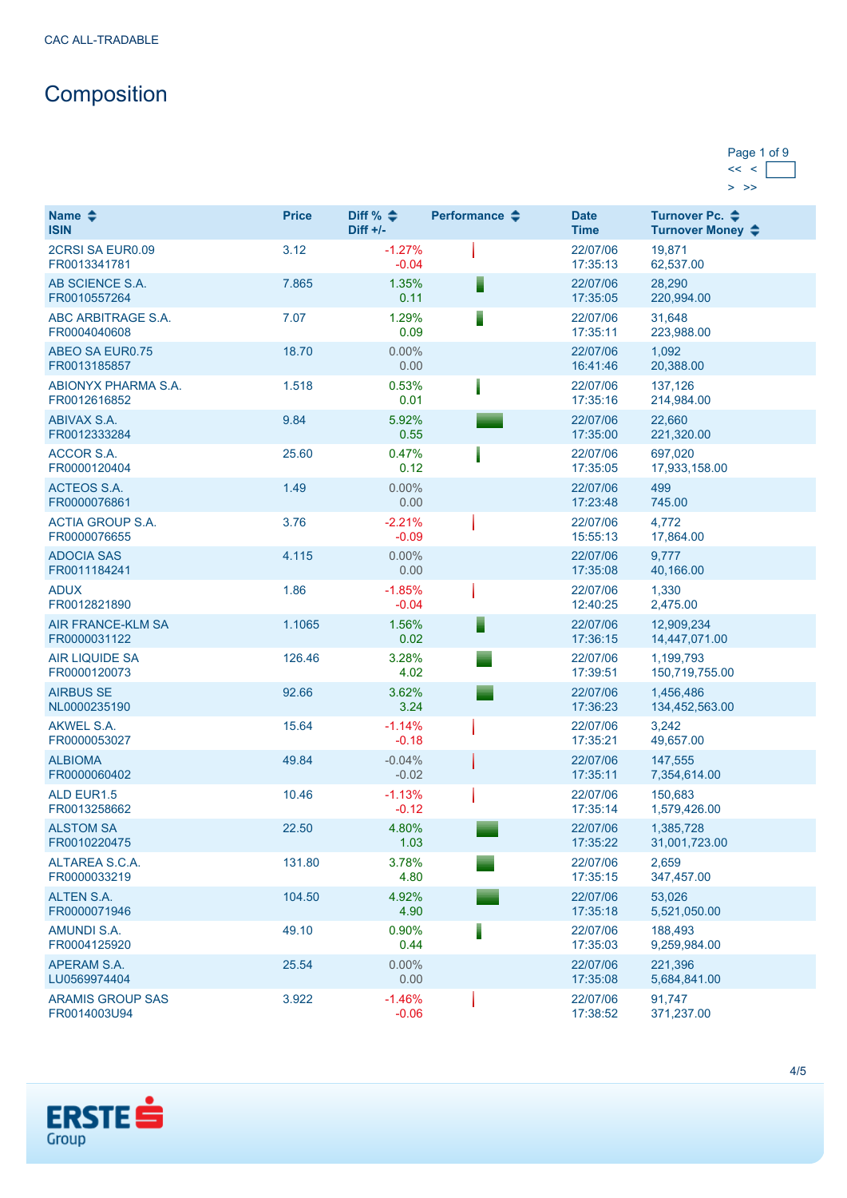# **Composition**

| Page 1 of 9 |  |
|-------------|--|
|             |  |
|             |  |

| Name $\triangleq$<br><b>ISIN</b>         | <b>Price</b> | Diff % $\div$<br>$Diff +/-$ | Performance $\clubsuit$ | <b>Date</b><br><b>Time</b> | Turnover Pc. ♦<br>Turnover Money ♦ |
|------------------------------------------|--------------|-----------------------------|-------------------------|----------------------------|------------------------------------|
| 2CRSI SA EUR0.09<br>FR0013341781         | 3.12         | $-1.27%$<br>$-0.04$         |                         | 22/07/06<br>17:35:13       | 19,871<br>62,537.00                |
| AB SCIENCE S.A.<br>FR0010557264          | 7.865        | 1.35%<br>0.11               | E                       | 22/07/06<br>17:35:05       | 28,290<br>220,994.00               |
| ABC ARBITRAGE S.A.<br>FR0004040608       | 7.07         | 1.29%<br>0.09               | I                       | 22/07/06<br>17:35:11       | 31,648<br>223,988.00               |
| <b>ABEO SA EUR0.75</b><br>FR0013185857   | 18.70        | $0.00\%$<br>0.00            |                         | 22/07/06<br>16:41:46       | 1,092<br>20,388.00                 |
| ABIONYX PHARMA S.A.<br>FR0012616852      | 1.518        | 0.53%<br>0.01               |                         | 22/07/06<br>17:35:16       | 137,126<br>214,984.00              |
| <b>ABIVAX S.A.</b><br>FR0012333284       | 9.84         | 5.92%<br>0.55               |                         | 22/07/06<br>17:35:00       | 22,660<br>221,320.00               |
| <b>ACCOR S.A.</b><br>FR0000120404        | 25.60        | 0.47%<br>0.12               |                         | 22/07/06<br>17:35:05       | 697,020<br>17,933,158.00           |
| <b>ACTEOS S.A.</b><br>FR0000076861       | 1.49         | $0.00\%$<br>0.00            |                         | 22/07/06<br>17:23:48       | 499<br>745.00                      |
| <b>ACTIA GROUP S.A.</b><br>FR0000076655  | 3.76         | $-2.21%$<br>$-0.09$         |                         | 22/07/06<br>15:55:13       | 4,772<br>17,864.00                 |
| <b>ADOCIA SAS</b><br>FR0011184241        | 4.115        | $0.00\%$<br>0.00            |                         | 22/07/06<br>17:35:08       | 9,777<br>40,166.00                 |
| <b>ADUX</b><br>FR0012821890              | 1.86         | $-1.85%$<br>$-0.04$         |                         | 22/07/06<br>12:40:25       | 1,330<br>2,475.00                  |
| <b>AIR FRANCE-KLM SA</b><br>FR0000031122 | 1.1065       | 1.56%<br>0.02               | E                       | 22/07/06<br>17:36:15       | 12,909,234<br>14,447,071.00        |
| <b>AIR LIQUIDE SA</b><br>FR0000120073    | 126.46       | 3.28%<br>4.02               |                         | 22/07/06<br>17:39:51       | 1,199,793<br>150,719,755.00        |
| <b>AIRBUS SE</b><br>NL0000235190         | 92.66        | 3.62%<br>3.24               |                         | 22/07/06<br>17:36:23       | 1,456,486<br>134,452,563.00        |
| <b>AKWEL S.A.</b><br>FR0000053027        | 15.64        | $-1.14%$<br>$-0.18$         |                         | 22/07/06<br>17:35:21       | 3,242<br>49,657.00                 |
| <b>ALBIOMA</b><br>FR0000060402           | 49.84        | $-0.04%$<br>$-0.02$         |                         | 22/07/06<br>17:35:11       | 147,555<br>7,354,614.00            |
| <b>ALD EUR1.5</b><br>FR0013258662        | 10.46        | $-1.13%$<br>$-0.12$         |                         | 22/07/06<br>17:35:14       | 150,683<br>1,579,426.00            |
| <b>ALSTOM SA</b><br>FR0010220475         | 22.50        | 4.80%<br>1.03               |                         | 22/07/06<br>17:35:22       | 1,385,728<br>31,001,723.00         |
| ALTAREA S.C.A.<br>FR0000033219           | 131.80       | 3.78%<br>4.80               |                         | 22/07/06<br>17:35:15       | 2,659<br>347,457.00                |
| <b>ALTEN S.A.</b><br>FR0000071946        | 104.50       | 4.92%<br>4.90               |                         | 22/07/06<br>17:35:18       | 53,026<br>5,521,050.00             |
| <b>AMUNDI S.A.</b><br>FR0004125920       | 49.10        | 0.90%<br>0.44               | I                       | 22/07/06<br>17:35:03       | 188,493<br>9,259,984.00            |
| APERAM S.A.<br>LU0569974404              | 25.54        | $0.00\%$<br>0.00            |                         | 22/07/06<br>17:35:08       | 221,396<br>5,684,841.00            |
| <b>ARAMIS GROUP SAS</b><br>FR0014003U94  | 3.922        | $-1.46%$<br>$-0.06$         |                         | 22/07/06<br>17:38:52       | 91,747<br>371,237.00               |